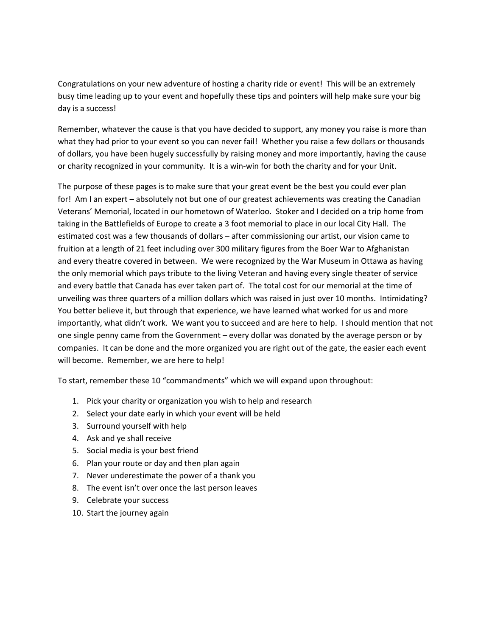Congratulations on your new adventure of hosting a charity ride or event! This will be an extremely busy time leading up to your event and hopefully these tips and pointers will help make sure your big day is a success!

Remember, whatever the cause is that you have decided to support, any money you raise is more than what they had prior to your event so you can never fail! Whether you raise a few dollars or thousands of dollars, you have been hugely successfully by raising money and more importantly, having the cause or charity recognized in your community. It is a win-win for both the charity and for your Unit.

The purpose of these pages is to make sure that your great event be the best you could ever plan for! Am I an expert – absolutely not but one of our greatest achievements was creating the Canadian Veterans' Memorial, located in our hometown of Waterloo. Stoker and I decided on a trip home from taking in the Battlefields of Europe to create a 3 foot memorial to place in our local City Hall. The estimated cost was a few thousands of dollars – after commissioning our artist, our vision came to fruition at a length of 21 feet including over 300 military figures from the Boer War to Afghanistan and every theatre covered in between. We were recognized by the War Museum in Ottawa as having the only memorial which pays tribute to the living Veteran and having every single theater of service and every battle that Canada has ever taken part of. The total cost for our memorial at the time of unveiling was three quarters of a million dollars which was raised in just over 10 months. Intimidating? You better believe it, but through that experience, we have learned what worked for us and more importantly, what didn't work. We want you to succeed and are here to help. I should mention that not one single penny came from the Government – every dollar was donated by the average person or by companies. It can be done and the more organized you are right out of the gate, the easier each event will become. Remember, we are here to help!

To start, remember these 10 "commandments" which we will expand upon throughout:

- 1. Pick your charity or organization you wish to help and research
- 2. Select your date early in which your event will be held
- 3. Surround yourself with help
- 4. Ask and ye shall receive
- 5. Social media is your best friend
- 6. Plan your route or day and then plan again
- 7. Never underestimate the power of a thank you
- 8. The event isn't over once the last person leaves
- 9. Celebrate your success
- 10. Start the journey again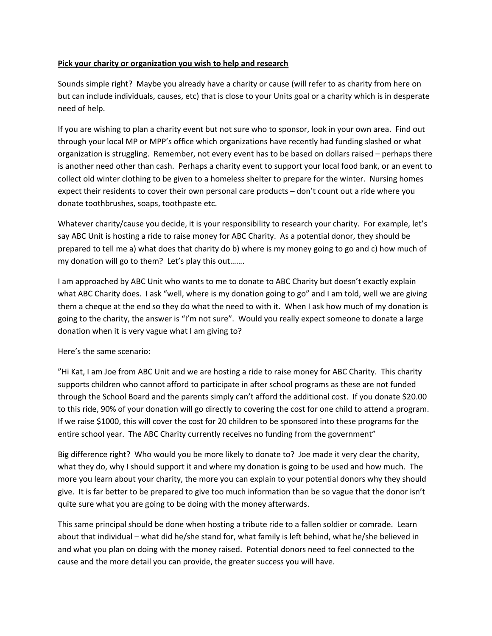#### **Pick your charity or organization you wish to help and research**

Sounds simple right? Maybe you already have a charity or cause (will refer to as charity from here on but can include individuals, causes, etc) that is close to your Units goal or a charity which is in desperate need of help.

If you are wishing to plan a charity event but not sure who to sponsor, look in your own area. Find out through your local MP or MPP's office which organizations have recently had funding slashed or what organization is struggling. Remember, not every event has to be based on dollars raised – perhaps there is another need other than cash. Perhaps a charity event to support your local food bank, or an event to collect old winter clothing to be given to a homeless shelter to prepare for the winter. Nursing homes expect their residents to cover their own personal care products – don't count out a ride where you donate toothbrushes, soaps, toothpaste etc.

Whatever charity/cause you decide, it is your responsibility to research your charity. For example, let's say ABC Unit is hosting a ride to raise money for ABC Charity. As a potential donor, they should be prepared to tell me a) what does that charity do b) where is my money going to go and c) how much of my donation will go to them? Let's play this out…….

I am approached by ABC Unit who wants to me to donate to ABC Charity but doesn't exactly explain what ABC Charity does. I ask "well, where is my donation going to go" and I am told, well we are giving them a cheque at the end so they do what the need to with it. When I ask how much of my donation is going to the charity, the answer is "I'm not sure". Would you really expect someone to donate a large donation when it is very vague what I am giving to?

#### Here's the same scenario:

"Hi Kat, I am Joe from ABC Unit and we are hosting a ride to raise money for ABC Charity. This charity supports children who cannot afford to participate in after school programs as these are not funded through the School Board and the parents simply can't afford the additional cost. If you donate \$20.00 to this ride, 90% of your donation will go directly to covering the cost for one child to attend a program. If we raise \$1000, this will cover the cost for 20 children to be sponsored into these programs for the entire school year. The ABC Charity currently receives no funding from the government"

Big difference right? Who would you be more likely to donate to? Joe made it very clear the charity, what they do, why I should support it and where my donation is going to be used and how much. The more you learn about your charity, the more you can explain to your potential donors why they should give. It is far better to be prepared to give too much information than be so vague that the donor isn't quite sure what you are going to be doing with the money afterwards.

This same principal should be done when hosting a tribute ride to a fallen soldier or comrade. Learn about that individual – what did he/she stand for, what family is left behind, what he/she believed in and what you plan on doing with the money raised. Potential donors need to feel connected to the cause and the more detail you can provide, the greater success you will have.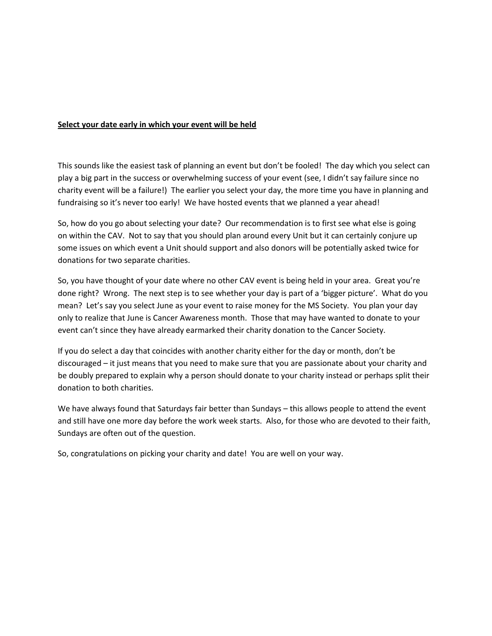#### **Select your date early in which your event will be held**

This sounds like the easiest task of planning an event but don't be fooled! The day which you select can play a big part in the success or overwhelming success of your event (see, I didn't say failure since no charity event will be a failure!) The earlier you select your day, the more time you have in planning and fundraising so it's never too early! We have hosted events that we planned a year ahead!

So, how do you go about selecting your date? Our recommendation is to first see what else is going on within the CAV. Not to say that you should plan around every Unit but it can certainly conjure up some issues on which event a Unit should support and also donors will be potentially asked twice for donations for two separate charities.

So, you have thought of your date where no other CAV event is being held in your area. Great you're done right? Wrong. The next step is to see whether your day is part of a 'bigger picture'. What do you mean? Let's say you select June as your event to raise money for the MS Society. You plan your day only to realize that June is Cancer Awareness month. Those that may have wanted to donate to your event can't since they have already earmarked their charity donation to the Cancer Society.

If you do select a day that coincides with another charity either for the day or month, don't be discouraged – it just means that you need to make sure that you are passionate about your charity and be doubly prepared to explain why a person should donate to your charity instead or perhaps split their donation to both charities.

We have always found that Saturdays fair better than Sundays – this allows people to attend the event and still have one more day before the work week starts. Also, for those who are devoted to their faith, Sundays are often out of the question.

So, congratulations on picking your charity and date! You are well on your way.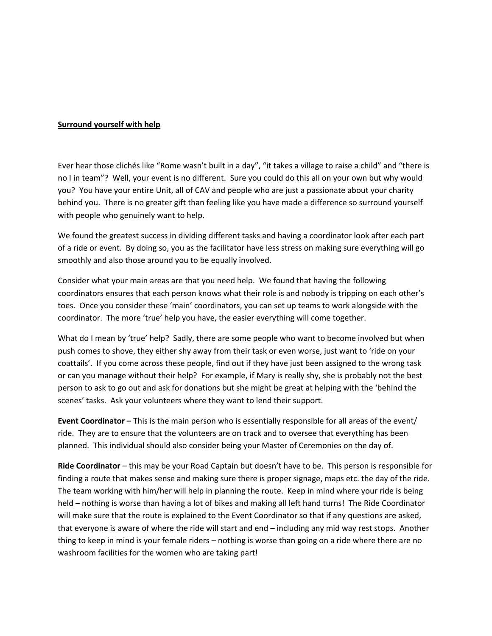#### **Surround yourself with help**

Ever hear those clichés like "Rome wasn't built in a day", "it takes a village to raise a child" and "there is no I in team"? Well, your event is no different. Sure you could do this all on your own but why would you? You have your entire Unit, all of CAV and people who are just a passionate about your charity behind you. There is no greater gift than feeling like you have made a difference so surround yourself with people who genuinely want to help.

We found the greatest success in dividing different tasks and having a coordinator look after each part of a ride or event. By doing so, you as the facilitator have less stress on making sure everything will go smoothly and also those around you to be equally involved.

Consider what your main areas are that you need help. We found that having the following coordinators ensures that each person knows what their role is and nobody is tripping on each other's toes. Once you consider these 'main' coordinators, you can set up teams to work alongside with the coordinator. The more 'true' help you have, the easier everything will come together.

What do I mean by 'true' help? Sadly, there are some people who want to become involved but when push comes to shove, they either shy away from their task or even worse, just want to 'ride on your coattails'. If you come across these people, find out if they have just been assigned to the wrong task or can you manage without their help? For example, if Mary is really shy, she is probably not the best person to ask to go out and ask for donations but she might be great at helping with the 'behind the scenes' tasks. Ask your volunteers where they want to lend their support.

**Event Coordinator –** This is the main person who is essentially responsible for all areas of the event/ ride. They are to ensure that the volunteers are on track and to oversee that everything has been planned. This individual should also consider being your Master of Ceremonies on the day of.

**Ride Coordinator** – this may be your Road Captain but doesn't have to be. This person is responsible for finding a route that makes sense and making sure there is proper signage, maps etc. the day of the ride. The team working with him/her will help in planning the route. Keep in mind where your ride is being held – nothing is worse than having a lot of bikes and making all left hand turns! The Ride Coordinator will make sure that the route is explained to the Event Coordinator so that if any questions are asked, that everyone is aware of where the ride will start and end – including any mid way rest stops. Another thing to keep in mind is your female riders – nothing is worse than going on a ride where there are no washroom facilities for the women who are taking part!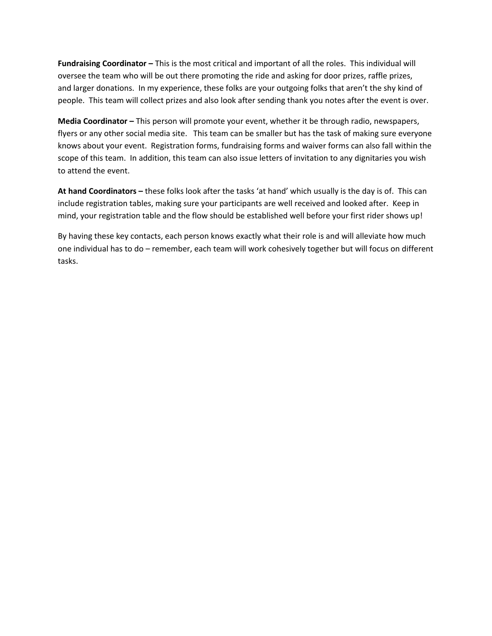**Fundraising Coordinator –** This is the most critical and important of all the roles. This individual will oversee the team who will be out there promoting the ride and asking for door prizes, raffle prizes, and larger donations. In my experience, these folks are your outgoing folks that aren't the shy kind of people. This team will collect prizes and also look after sending thank you notes after the event is over.

**Media Coordinator –** This person will promote your event, whether it be through radio, newspapers, flyers or any other social media site. This team can be smaller but has the task of making sure everyone knows about your event. Registration forms, fundraising forms and waiver forms can also fall within the scope of this team. In addition, this team can also issue letters of invitation to any dignitaries you wish to attend the event.

**At hand Coordinators –** these folks look after the tasks 'at hand' which usually is the day is of. This can include registration tables, making sure your participants are well received and looked after. Keep in mind, your registration table and the flow should be established well before your first rider shows up!

By having these key contacts, each person knows exactly what their role is and will alleviate how much one individual has to do – remember, each team will work cohesively together but will focus on different tasks.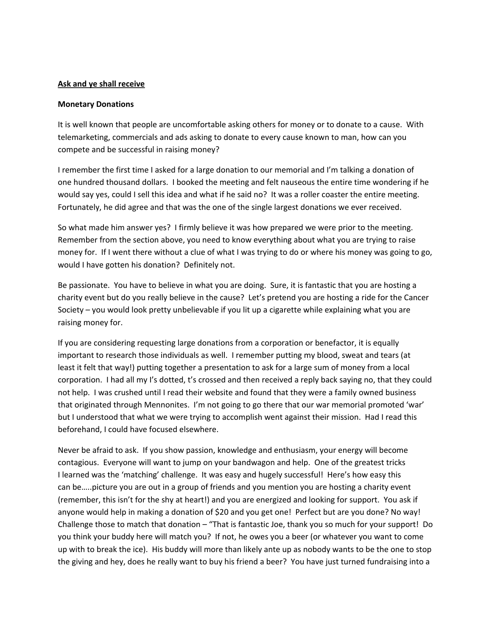#### **Ask and ye shall receive**

#### **Monetary Donations**

It is well known that people are uncomfortable asking others for money or to donate to a cause. With telemarketing, commercials and ads asking to donate to every cause known to man, how can you compete and be successful in raising money?

I remember the first time I asked for a large donation to our memorial and I'm talking a donation of one hundred thousand dollars. I booked the meeting and felt nauseous the entire time wondering if he would say yes, could I sell this idea and what if he said no? It was a roller coaster the entire meeting. Fortunately, he did agree and that was the one of the single largest donations we ever received.

So what made him answer yes? I firmly believe it was how prepared we were prior to the meeting. Remember from the section above, you need to know everything about what you are trying to raise money for. If I went there without a clue of what I was trying to do or where his money was going to go, would I have gotten his donation? Definitely not.

Be passionate. You have to believe in what you are doing. Sure, it is fantastic that you are hosting a charity event but do you really believe in the cause? Let's pretend you are hosting a ride for the Cancer Society – you would look pretty unbelievable if you lit up a cigarette while explaining what you are raising money for.

If you are considering requesting large donations from a corporation or benefactor, it is equally important to research those individuals as well. I remember putting my blood, sweat and tears (at least it felt that way!) putting together a presentation to ask for a large sum of money from a local corporation. I had all my I's dotted, t's crossed and then received a reply back saying no, that they could not help. I was crushed until I read their website and found that they were a family owned business that originated through Mennonites. I'm not going to go there that our war memorial promoted 'war' but I understood that what we were trying to accomplish went against their mission. Had I read this beforehand, I could have focused elsewhere.

Never be afraid to ask. If you show passion, knowledge and enthusiasm, your energy will become contagious. Everyone will want to jump on your bandwagon and help. One of the greatest tricks I learned was the 'matching' challenge. It was easy and hugely successful! Here's how easy this can be…..picture you are out in a group of friends and you mention you are hosting a charity event (remember, this isn't for the shy at heart!) and you are energized and looking for support. You ask if anyone would help in making a donation of \$20 and you get one! Perfect but are you done? No way! Challenge those to match that donation – "That is fantastic Joe, thank you so much for your support! Do you think your buddy here will match you? If not, he owes you a beer (or whatever you want to come up with to break the ice). His buddy will more than likely ante up as nobody wants to be the one to stop the giving and hey, does he really want to buy his friend a beer? You have just turned fundraising into a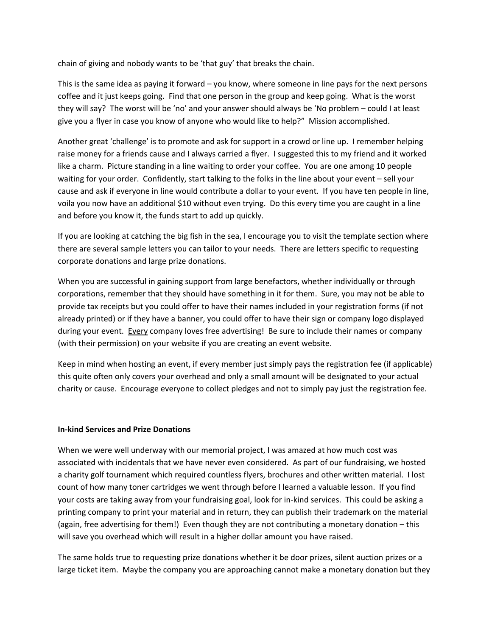chain of giving and nobody wants to be 'that guy' that breaks the chain.

This is the same idea as paying it forward – you know, where someone in line pays for the next persons coffee and it just keeps going. Find that one person in the group and keep going. What is the worst they will say? The worst will be 'no' and your answer should always be 'No problem – could I at least give you a flyer in case you know of anyone who would like to help?" Mission accomplished.

Another great 'challenge' is to promote and ask for support in a crowd or line up. I remember helping raise money for a friends cause and I always carried a flyer. I suggested this to my friend and it worked like a charm. Picture standing in a line waiting to order your coffee. You are one among 10 people waiting for your order. Confidently, start talking to the folks in the line about your event – sell your cause and ask if everyone in line would contribute a dollar to your event. If you have ten people in line, voila you now have an additional \$10 without even trying. Do this every time you are caught in a line and before you know it, the funds start to add up quickly.

If you are looking at catching the big fish in the sea, I encourage you to visit the template section where there are several sample letters you can tailor to your needs. There are letters specific to requesting corporate donations and large prize donations.

When you are successful in gaining support from large benefactors, whether individually or through corporations, remember that they should have something in it for them. Sure, you may not be able to provide tax receipts but you could offer to have their names included in your registration forms (if not already printed) or if they have a banner, you could offer to have their sign or company logo displayed during your event. Every company loves free advertising! Be sure to include their names or company (with their permission) on your website if you are creating an event website.

Keep in mind when hosting an event, if every member just simply pays the registration fee (if applicable) this quite often only covers your overhead and only a small amount will be designated to your actual charity or cause. Encourage everyone to collect pledges and not to simply pay just the registration fee.

#### **In-kind Services and Prize Donations**

When we were well underway with our memorial project, I was amazed at how much cost was associated with incidentals that we have never even considered. As part of our fundraising, we hosted a charity golf tournament which required countless flyers, brochures and other written material. I lost count of how many toner cartridges we went through before I learned a valuable lesson. If you find your costs are taking away from your fundraising goal, look for in-kind services. This could be asking a printing company to print your material and in return, they can publish their trademark on the material (again, free advertising for them!) Even though they are not contributing a monetary donation – this will save you overhead which will result in a higher dollar amount you have raised.

The same holds true to requesting prize donations whether it be door prizes, silent auction prizes or a large ticket item. Maybe the company you are approaching cannot make a monetary donation but they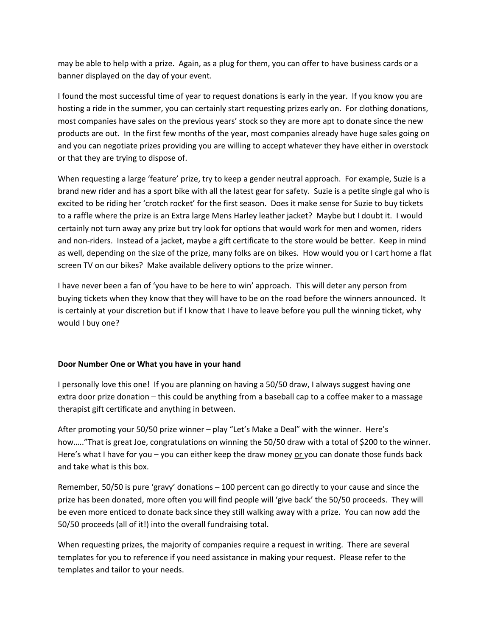may be able to help with a prize. Again, as a plug for them, you can offer to have business cards or a banner displayed on the day of your event.

I found the most successful time of year to request donations is early in the year. If you know you are hosting a ride in the summer, you can certainly start requesting prizes early on. For clothing donations, most companies have sales on the previous years' stock so they are more apt to donate since the new products are out. In the first few months of the year, most companies already have huge sales going on and you can negotiate prizes providing you are willing to accept whatever they have either in overstock or that they are trying to dispose of.

When requesting a large 'feature' prize, try to keep a gender neutral approach. For example, Suzie is a brand new rider and has a sport bike with all the latest gear for safety. Suzie is a petite single gal who is excited to be riding her 'crotch rocket' for the first season. Does it make sense for Suzie to buy tickets to a raffle where the prize is an Extra large Mens Harley leather jacket? Maybe but I doubt it. I would certainly not turn away any prize but try look for options that would work for men and women, riders and non-riders. Instead of a jacket, maybe a gift certificate to the store would be better. Keep in mind as well, depending on the size of the prize, many folks are on bikes. How would you or I cart home a flat screen TV on our bikes? Make available delivery options to the prize winner.

I have never been a fan of 'you have to be here to win' approach. This will deter any person from buying tickets when they know that they will have to be on the road before the winners announced. It is certainly at your discretion but if I know that I have to leave before you pull the winning ticket, why would I buy one?

#### **Door Number One or What you have in your hand**

I personally love this one! If you are planning on having a 50/50 draw, I always suggest having one extra door prize donation – this could be anything from a baseball cap to a coffee maker to a massage therapist gift certificate and anything in between.

After promoting your 50/50 prize winner – play "Let's Make a Deal" with the winner. Here's how….."That is great Joe, congratulations on winning the 50/50 draw with a total of \$200 to the winner. Here's what I have for you - you can either keep the draw money or you can donate those funds back and take what is this box.

Remember, 50/50 is pure 'gravy' donations – 100 percent can go directly to your cause and since the prize has been donated, more often you will find people will 'give back' the 50/50 proceeds. They will be even more enticed to donate back since they still walking away with a prize. You can now add the 50/50 proceeds (all of it!) into the overall fundraising total.

When requesting prizes, the majority of companies require a request in writing. There are several templates for you to reference if you need assistance in making your request. Please refer to the templates and tailor to your needs.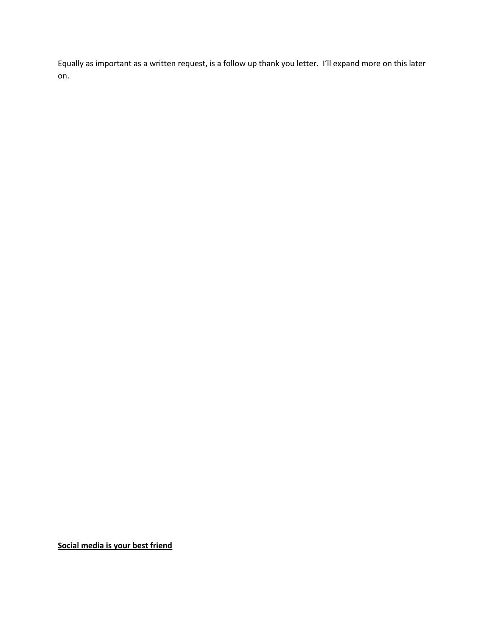Equally as important as a written request, is a follow up thank you letter. I'll expand more on this later on.

**Social media is your best friend**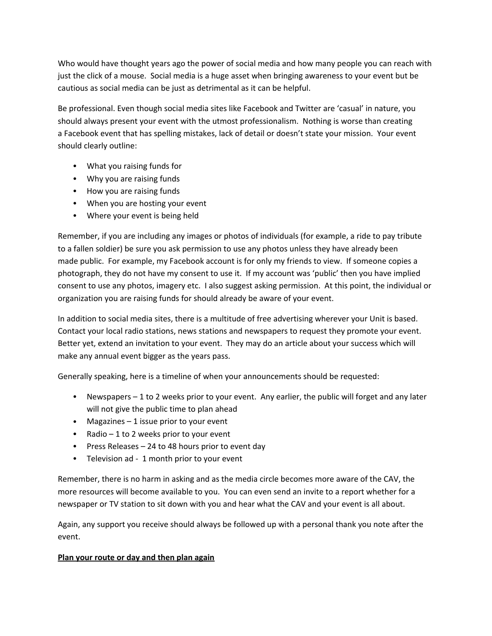Who would have thought years ago the power of social media and how many people you can reach with just the click of a mouse. Social media is a huge asset when bringing awareness to your event but be cautious as social media can be just as detrimental as it can be helpful.

Be professional. Even though social media sites like Facebook and Twitter are 'casual' in nature, you should always present your event with the utmost professionalism. Nothing is worse than creating a Facebook event that has spelling mistakes, lack of detail or doesn't state your mission. Your event should clearly outline:

- What you raising funds for
- Why you are raising funds
- How you are raising funds
- When you are hosting your event
- Where your event is being held

Remember, if you are including any images or photos of individuals (for example, a ride to pay tribute to a fallen soldier) be sure you ask permission to use any photos unless they have already been made public. For example, my Facebook account is for only my friends to view. If someone copies a photograph, they do not have my consent to use it. If my account was 'public' then you have implied consent to use any photos, imagery etc. I also suggest asking permission. At this point, the individual or organization you are raising funds for should already be aware of your event.

In addition to social media sites, there is a multitude of free advertising wherever your Unit is based. Contact your local radio stations, news stations and newspapers to request they promote your event. Better yet, extend an invitation to your event. They may do an article about your success which will make any annual event bigger as the years pass.

Generally speaking, here is a timeline of when your announcements should be requested:

- Newspapers 1 to 2 weeks prior to your event. Any earlier, the public will forget and any later will not give the public time to plan ahead
- Magazines 1 issue prior to your event
- Radio  $-1$  to 2 weeks prior to your event
- Press Releases 24 to 48 hours prior to event day
- Television ad 1 month prior to your event

Remember, there is no harm in asking and as the media circle becomes more aware of the CAV, the more resources will become available to you. You can even send an invite to a report whether for a newspaper or TV station to sit down with you and hear what the CAV and your event is all about.

Again, any support you receive should always be followed up with a personal thank you note after the event.

#### **Plan your route or day and then plan again**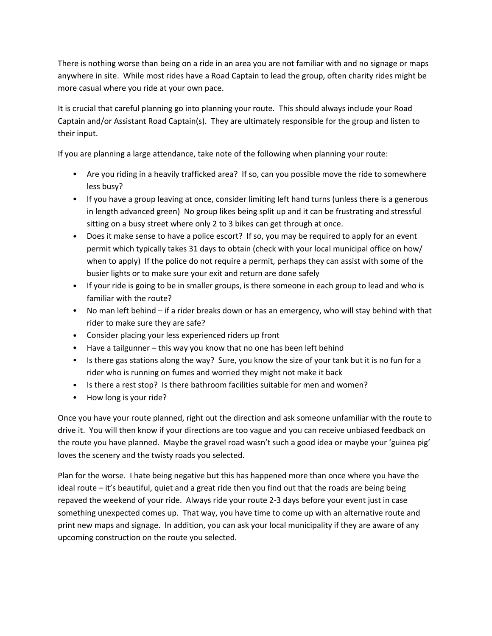There is nothing worse than being on a ride in an area you are not familiar with and no signage or maps anywhere in site. While most rides have a Road Captain to lead the group, often charity rides might be more casual where you ride at your own pace.

It is crucial that careful planning go into planning your route. This should always include your Road Captain and/or Assistant Road Captain(s). They are ultimately responsible for the group and listen to their input.

If you are planning a large attendance, take note of the following when planning your route:

- Are you riding in a heavily trafficked area? If so, can you possible move the ride to somewhere less busy?
- If you have a group leaving at once, consider limiting left hand turns (unless there is a generous in length advanced green) No group likes being split up and it can be frustrating and stressful sitting on a busy street where only 2 to 3 bikes can get through at once.
- Does it make sense to have a police escort? If so, you may be required to apply for an event permit which typically takes 31 days to obtain (check with your local municipal office on how/ when to apply) If the police do not require a permit, perhaps they can assist with some of the busier lights or to make sure your exit and return are done safely
- If your ride is going to be in smaller groups, is there someone in each group to lead and who is familiar with the route?
- No man left behind if a rider breaks down or has an emergency, who will stay behind with that rider to make sure they are safe?
- Consider placing your less experienced riders up front
- Have a tailgunner this way you know that no one has been left behind
- Is there gas stations along the way? Sure, you know the size of your tank but it is no fun for a rider who is running on fumes and worried they might not make it back
- Is there a rest stop? Is there bathroom facilities suitable for men and women?
- How long is your ride?

Once you have your route planned, right out the direction and ask someone unfamiliar with the route to drive it. You will then know if your directions are too vague and you can receive unbiased feedback on the route you have planned. Maybe the gravel road wasn't such a good idea or maybe your 'guinea pig' loves the scenery and the twisty roads you selected.

Plan for the worse. I hate being negative but this has happened more than once where you have the ideal route – it's beautiful, quiet and a great ride then you find out that the roads are being being repaved the weekend of your ride. Always ride your route 2-3 days before your event just in case something unexpected comes up. That way, you have time to come up with an alternative route and print new maps and signage. In addition, you can ask your local municipality if they are aware of any upcoming construction on the route you selected.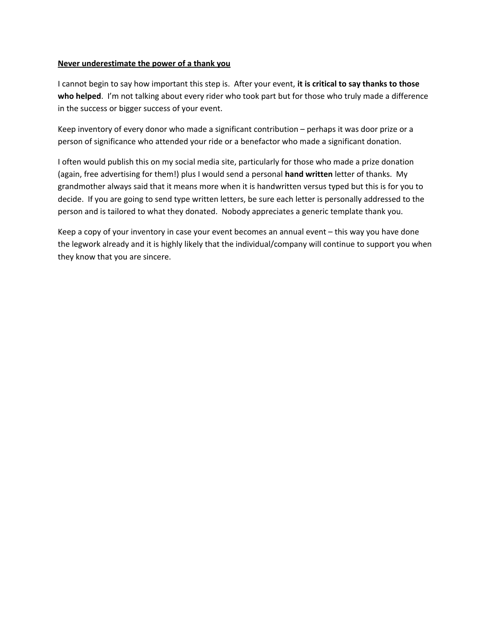#### **Never underestimate the power of a thank you**

I cannot begin to say how important this step is. After your event, **it is critical to say thanks to those who helped**. I'm not talking about every rider who took part but for those who truly made a difference in the success or bigger success of your event.

Keep inventory of every donor who made a significant contribution – perhaps it was door prize or a person of significance who attended your ride or a benefactor who made a significant donation.

I often would publish this on my social media site, particularly for those who made a prize donation (again, free advertising for them!) plus I would send a personal **hand written** letter of thanks. My grandmother always said that it means more when it is handwritten versus typed but this is for you to decide. If you are going to send type written letters, be sure each letter is personally addressed to the person and is tailored to what they donated. Nobody appreciates a generic template thank you.

Keep a copy of your inventory in case your event becomes an annual event – this way you have done the legwork already and it is highly likely that the individual/company will continue to support you when they know that you are sincere.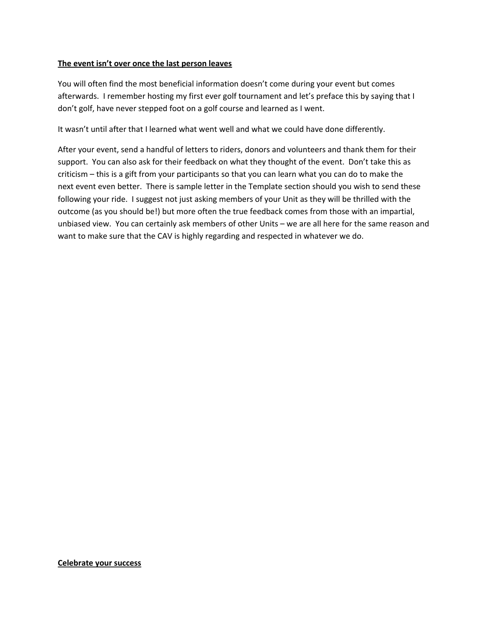#### **The event isn't over once the last person leaves**

You will often find the most beneficial information doesn't come during your event but comes afterwards. I remember hosting my first ever golf tournament and let's preface this by saying that I don't golf, have never stepped foot on a golf course and learned as I went.

It wasn't until after that I learned what went well and what we could have done differently.

After your event, send a handful of letters to riders, donors and volunteers and thank them for their support. You can also ask for their feedback on what they thought of the event. Don't take this as criticism – this is a gift from your participants so that you can learn what you can do to make the next event even better. There is sample letter in the Template section should you wish to send these following your ride. I suggest not just asking members of your Unit as they will be thrilled with the outcome (as you should be!) but more often the true feedback comes from those with an impartial, unbiased view. You can certainly ask members of other Units – we are all here for the same reason and want to make sure that the CAV is highly regarding and respected in whatever we do.

#### **Celebrate your success**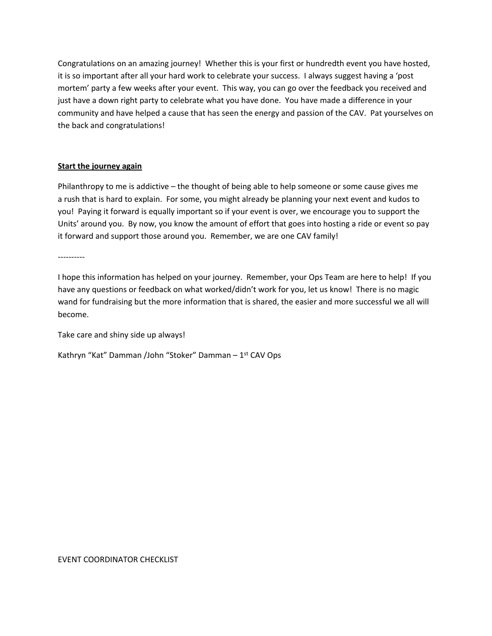Congratulations on an amazing journey! Whether this is your first or hundredth event you have hosted, it is so important after all your hard work to celebrate your success. I always suggest having a 'post mortem' party a few weeks after your event. This way, you can go over the feedback you received and just have a down right party to celebrate what you have done. You have made a difference in your community and have helped a cause that has seen the energy and passion of the CAV. Pat yourselves on the back and congratulations!

#### **Start the journey again**

Philanthropy to me is addictive – the thought of being able to help someone or some cause gives me a rush that is hard to explain. For some, you might already be planning your next event and kudos to you! Paying it forward is equally important so if your event is over, we encourage you to support the Units' around you. By now, you know the amount of effort that goes into hosting a ride or event so pay it forward and support those around you. Remember, we are one CAV family!

----------

I hope this information has helped on your journey. Remember, your Ops Team are here to help! If you have any questions or feedback on what worked/didn't work for you, let us know! There is no magic wand for fundraising but the more information that is shared, the easier and more successful we all will become.

Take care and shiny side up always!

Kathryn "Kat" Damman /John "Stoker" Damman – 1st CAV Ops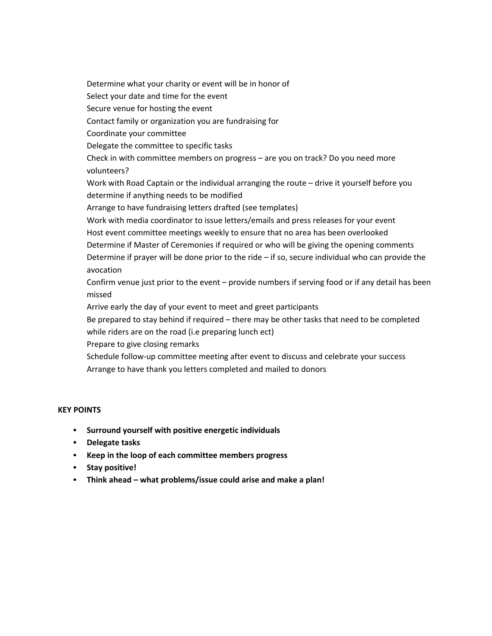Determine what your charity or event will be in honor of Select your date and time for the event Secure venue for hosting the event Contact family or organization you are fundraising for Coordinate your committee Delegate the committee to specific tasks Check in with committee members on progress – are you on track? Do you need more volunteers? Work with Road Captain or the individual arranging the route – drive it yourself before you determine if anything needs to be modified Arrange to have fundraising letters drafted (see templates) Work with media coordinator to issue letters/emails and press releases for your event Host event committee meetings weekly to ensure that no area has been overlooked Determine if Master of Ceremonies if required or who will be giving the opening comments Determine if prayer will be done prior to the ride – if so, secure individual who can provide the avocation Confirm venue just prior to the event – provide numbers if serving food or if any detail has been missed Arrive early the day of your event to meet and greet participants

Be prepared to stay behind if required – there may be other tasks that need to be completed while riders are on the road (i.e preparing lunch ect)

Prepare to give closing remarks

Schedule follow-up committee meeting after event to discuss and celebrate your success Arrange to have thank you letters completed and mailed to donors

#### **KEY POINTS**

- **Surround yourself with positive energetic individuals**
- **Delegate tasks**
- **Keep in the loop of each committee members progress**
- **Stay positive!**
- **Think ahead what problems/issue could arise and make a plan!**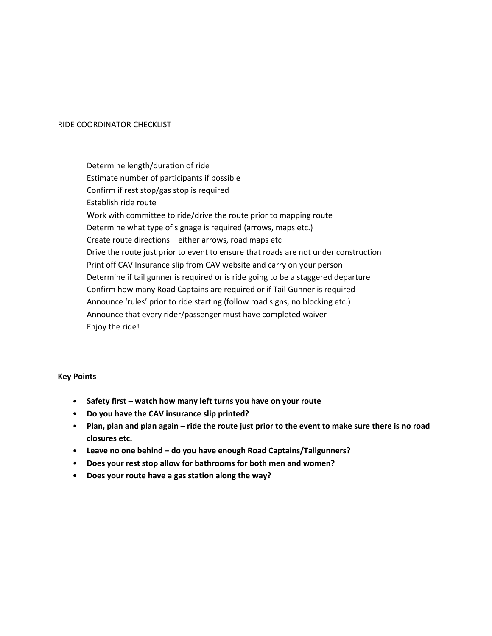#### RIDE COORDINATOR CHECKLIST

Determine length/duration of ride Estimate number of participants if possible Confirm if rest stop/gas stop is required Establish ride route Work with committee to ride/drive the route prior to mapping route Determine what type of signage is required (arrows, maps etc.) Create route directions – either arrows, road maps etc Drive the route just prior to event to ensure that roads are not under construction Print off CAV Insurance slip from CAV website and carry on your person Determine if tail gunner is required or is ride going to be a staggered departure Confirm how many Road Captains are required or if Tail Gunner is required Announce 'rules' prior to ride starting (follow road signs, no blocking etc.) Announce that every rider/passenger must have completed waiver Enjoy the ride!

#### **Key Points**

- **Safety first watch how many left turns you have on your route**
- **Do you have the CAV insurance slip printed?**
- **Plan, plan and plan again ride the route just prior to the event to make sure there is no road closures etc.**
- **Leave no one behind do you have enough Road Captains/Tailgunners?**
- **Does your rest stop allow for bathrooms for both men and women?**
- **Does your route have a gas station along the way?**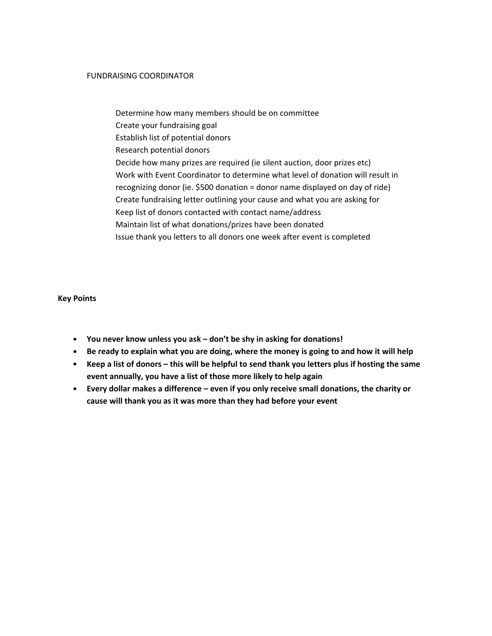#### FUNDRAISING COORDINATOR

Determine how many members should be on committee Create your fundraising goal Establish list of potential donors Research potential donors Decide how many prizes are required (ie silent auction, door prizes etc) Work with Event Coordinator to determine what level of donation will result in recognizing donor (ie. \$500 donation = donor name displayed on day of ride) Create fundraising letter outlining your cause and what you are asking for Keep list of donors contacted with contact name/address Maintain list of what donations/prizes have been donated Issue thank you letters to all donors one week after event is completed

#### **Key Points**

- **You never know unless you ask don't be shy in asking for donations!**
- **Be ready to explain what you are doing, where the money is going to and how it will help**
- **Keep a list of donors this will be helpful to send thank you letters plus if hosting the same event annually, you have a list of those more likely to help again**
- **Every dollar makes a difference even if you only receive small donations, the charity or cause will thank you as it was more than they had before your event**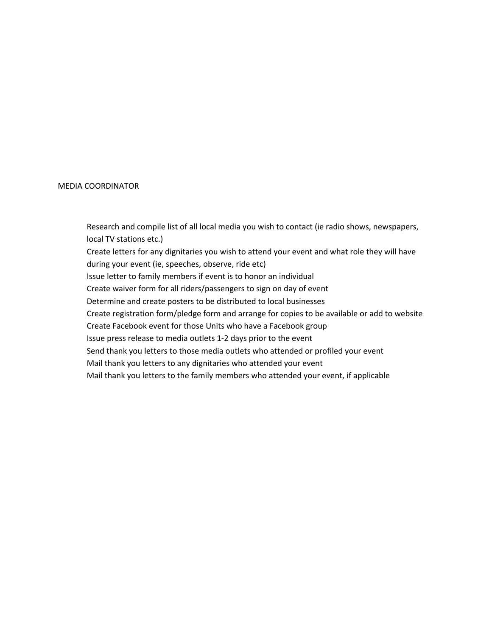#### MEDIA COORDINATOR

Research and compile list of all local media you wish to contact (ie radio shows, newspapers, local TV stations etc.)

Create letters for any dignitaries you wish to attend your event and what role they will have during your event (ie, speeches, observe, ride etc)

Issue letter to family members if event is to honor an individual

Create waiver form for all riders/passengers to sign on day of event

Determine and create posters to be distributed to local businesses

Create registration form/pledge form and arrange for copies to be available or add to website

Create Facebook event for those Units who have a Facebook group

Issue press release to media outlets 1-2 days prior to the event

Send thank you letters to those media outlets who attended or profiled your event

Mail thank you letters to any dignitaries who attended your event

Mail thank you letters to the family members who attended your event, if applicable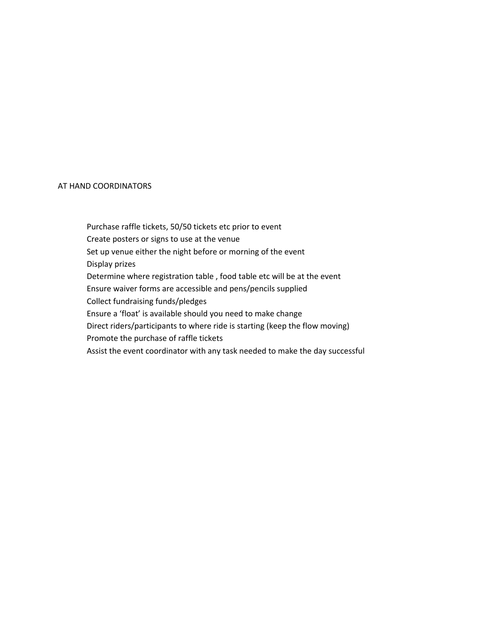#### AT HAND COORDINATORS

Purchase raffle tickets, 50/50 tickets etc prior to event Create posters or signs to use at the venue Set up venue either the night before or morning of the event Display prizes Determine where registration table , food table etc will be at the event Ensure waiver forms are accessible and pens/pencils supplied Collect fundraising funds/pledges Ensure a 'float' is available should you need to make change Direct riders/participants to where ride is starting (keep the flow moving) Promote the purchase of raffle tickets Assist the event coordinator with any task needed to make the day successful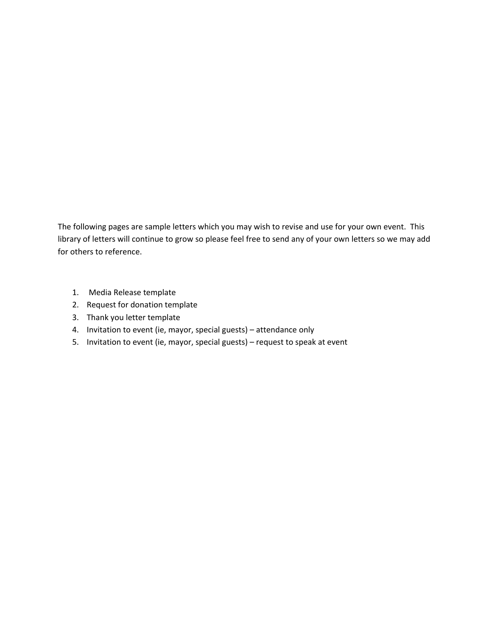The following pages are sample letters which you may wish to revise and use for your own event. This library of letters will continue to grow so please feel free to send any of your own letters so we may add for others to reference.

- 1. Media Release template
- 2. Request for donation template
- 3. Thank you letter template
- 4. Invitation to event (ie, mayor, special guests) attendance only
- 5. Invitation to event (ie, mayor, special guests) request to speak at event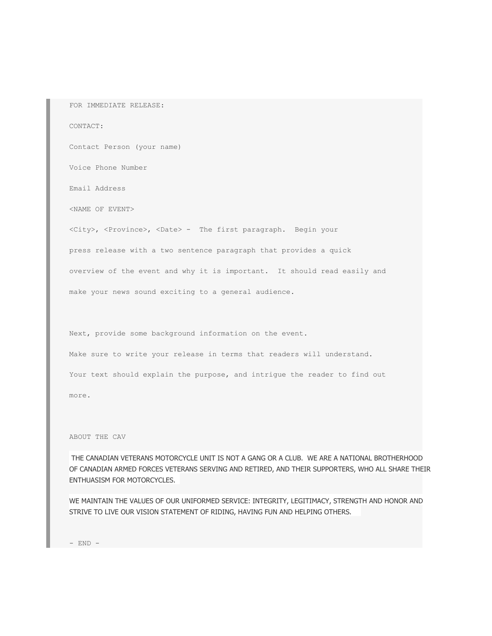FOR IMMEDIATE RELEASE:

#### CONTACT:

Contact Person (your name)

Voice Phone Number

Email Address

<NAME OF EVENT>

<City>, <Province>, <Date> - The first paragraph. Begin your press release with a two sentence paragraph that provides a quick overview of the event and why it is important. It should read easily and

make your news sound exciting to a general audience.

Next, provide some background information on the event.

Make sure to write your release in terms that readers will understand.

Your text should explain the purpose, and intrigue the reader to find out

more.

ABOUT THE CAV

 THE CANADIAN VETERANS MOTORCYCLE UNIT IS NOT A GANG OR A CLUB. WE ARE A NATIONAL BROTHERHOOD OF CANADIAN ARMED FORCES VETERANS SERVING AND RETIRED, AND THEIR SUPPORTERS, WHO ALL SHARE THEIR ENTHUASISM FOR MOTORCYCLES.

WE MAINTAIN THE VALUES OF OUR UNIFORMED SERVICE: INTEGRITY, LEGITIMACY, STRENGTH AND HONOR AND STRIVE TO LIVE OUR VISION STATEMENT OF RIDING, HAVING FUN AND HELPING OTHERS.

 $-$  END  $-$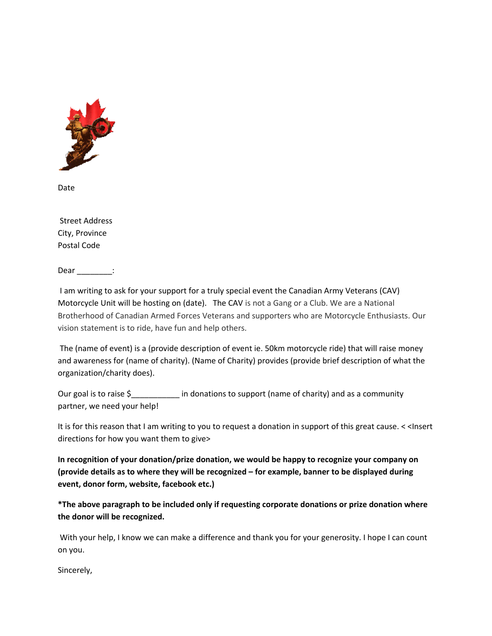

Date

 Street Address City, Province Postal Code

Dear :

 I am writing to ask for your support for a truly special event the Canadian Army Veterans (CAV) Motorcycle Unit will be hosting on (date). The CAV is not a Gang or a Club. We are a National Brotherhood of Canadian Armed Forces Veterans and supporters who are Motorcycle Enthusiasts. Our vision statement is to ride, have fun and help others.

 The (name of event) is a (provide description of event ie. 50km motorcycle ride) that will raise money and awareness for (name of charity). (Name of Charity) provides (provide brief description of what the organization/charity does).

Our goal is to raise \$  $\blacksquare$  in donations to support (name of charity) and as a community partner, we need your help!

It is for this reason that I am writing to you to request a donation in support of this great cause. < <Insert directions for how you want them to give>

**In recognition of your donation/prize donation, we would be happy to recognize your company on (provide details as to where they will be recognized – for example, banner to be displayed during event, donor form, website, facebook etc.)**

**\*The above paragraph to be included only if requesting corporate donations or prize donation where the donor will be recognized.**

With your help, I know we can make a difference and thank you for your generosity. I hope I can count on you.

Sincerely,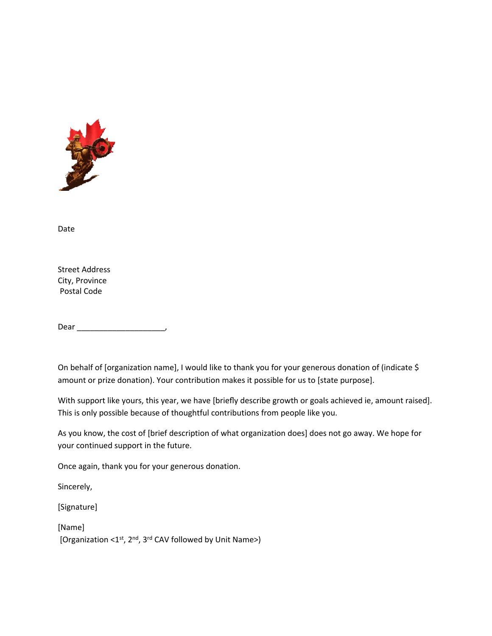

Date

Street Address City, Province Postal Code

Dear \_\_\_\_\_\_\_\_\_\_\_\_\_\_\_\_\_\_\_\_,

On behalf of [organization name], I would like to thank you for your generous donation of (indicate \$ amount or prize donation). Your contribution makes it possible for us to [state purpose].

With support like yours, this year, we have [briefly describe growth or goals achieved ie, amount raised]. This is only possible because of thoughtful contributions from people like you.

As you know, the cost of [brief description of what organization does] does not go away. We hope for your continued support in the future.

Once again, thank you for your generous donation.

Sincerely,

[Signature]

[Name] [Organization <1st, 2<sup>nd</sup>, 3<sup>rd</sup> CAV followed by Unit Name>)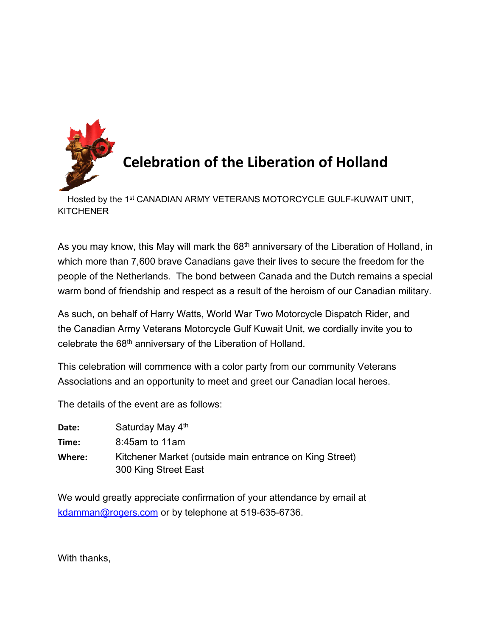

# **Celebration of the Liberation of Holland**

 Hosted by the 1st CANADIAN ARMY VETERANS MOTORCYCLE GULF-KUWAIT UNIT, **KITCHENER** 

As you may know, this May will mark the 68<sup>th</sup> anniversary of the Liberation of Holland, in which more than 7,600 brave Canadians gave their lives to secure the freedom for the people of the Netherlands. The bond between Canada and the Dutch remains a special warm bond of friendship and respect as a result of the heroism of our Canadian military.

As such, on behalf of Harry Watts, World War Two Motorcycle Dispatch Rider, and the Canadian Army Veterans Motorcycle Gulf Kuwait Unit, we cordially invite you to celebrate the 68<sup>th</sup> anniversary of the Liberation of Holland.

This celebration will commence with a color party from our community Veterans Associations and an opportunity to meet and greet our Canadian local heroes.

The details of the event are as follows:

| Date:  | Saturday May 4th                                        |
|--------|---------------------------------------------------------|
| Time:  | 8:45am to 11am                                          |
| Where: | Kitchener Market (outside main entrance on King Street) |
|        | 300 King Street East                                    |

We would greatly appreciate confirmation of your attendance by email at [kdamman@rogers.com](mailto:kdamman@rogers.com) or by telephone at 519-635-6736.

With thanks,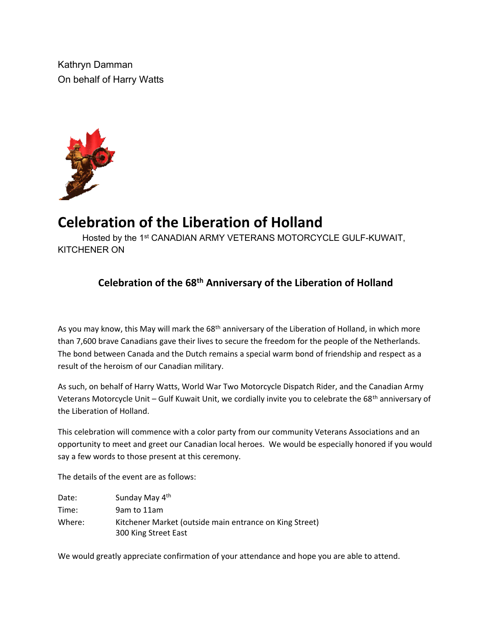Kathryn Damman On behalf of Harry Watts



## **Celebration of the Liberation of Holland**

Hosted by the 1<sup>st</sup> CANADIAN ARMY VETERANS MOTORCYCLE GULF-KUWAIT, KITCHENER ON

### **Celebration of the 68th Anniversary of the Liberation of Holland**

As you may know, this May will mark the 68<sup>th</sup> anniversary of the Liberation of Holland, in which more than 7,600 brave Canadians gave their lives to secure the freedom for the people of the Netherlands. The bond between Canada and the Dutch remains a special warm bond of friendship and respect as a result of the heroism of our Canadian military.

As such, on behalf of Harry Watts, World War Two Motorcycle Dispatch Rider, and the Canadian Army Veterans Motorcycle Unit – Gulf Kuwait Unit, we cordially invite you to celebrate the 68<sup>th</sup> anniversary of the Liberation of Holland.

This celebration will commence with a color party from our community Veterans Associations and an opportunity to meet and greet our Canadian local heroes. We would be especially honored if you would say a few words to those present at this ceremony.

The details of the event are as follows:

| Date:  | Sunday May 4th                                                                  |
|--------|---------------------------------------------------------------------------------|
| Time:  | 9am to 11am                                                                     |
| Where: | Kitchener Market (outside main entrance on King Street)<br>300 King Street East |

We would greatly appreciate confirmation of your attendance and hope you are able to attend.